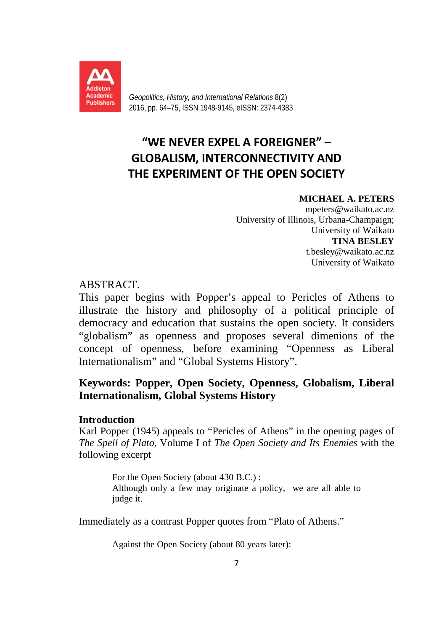

*Geopolitics, History, and International Relations* 8(2) 2016, pp. 64–75, ISSN 1948-9145, eISSN: 2374-4383

# **"WE NEVER EXPEL A FOREIGNER" – GLOBALISM, INTERCONNECTIVITY AND THE EXPERIMENT OF THE OPEN SOCIETY**

# **MICHAEL A. PETERS**

mpeters@waikato.ac.nz University of Illinois, Urbana-Champaign; University of Waikato **TINA BESLEY** t.besley@waikato.ac.nz University of Waikato

# ABSTRACT.

This paper begins with Popper's appeal to Pericles of Athens to illustrate the history and philosophy of a political principle of democracy and education that sustains the open society. It considers "globalism" as openness and proposes several dimenions of the concept of openness, before examining "Openness as Liberal Internationalism" and "Global Systems History".

# **Keywords: Popper, Open Society, Openness, Globalism, Liberal Internationalism, Global Systems History**

# **Introduction**

Karl Popper (1945) appeals to "Pericles of Athens" in the opening pages of *The Spell of Plato*, Volume I of *The Open Society and Its Enemies* with the following excerpt

> For the Open Society (about 430 B.C.) : Although only a few may originate a policy, we are all able to judge it.

Immediately as a contrast Popper quotes from "Plato of Athens."

Against the Open Society (about 80 years later):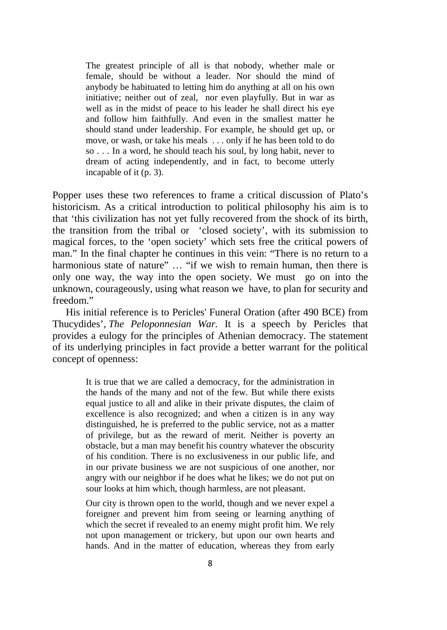The greatest principle of all is that nobody, whether male or female, should be without a leader. Nor should the mind of anybody be habituated to letting him do anything at all on his own initiative; neither out of zeal, nor even playfully. But in war as well as in the midst of peace to his leader he shall direct his eye and follow him faithfully. And even in the smallest matter he should stand under leadership. For example, he should get up, or move, or wash, or take his meals . . . only if he has been told to do so . . . In a word, he should teach his soul, by long habit, never to dream of acting independently, and in fact, to become utterly incapable of it (p. 3).

Popper uses these two references to frame a critical discussion of Plato's historicism. As a critical introduction to political philosophy his aim is to that 'this civilization has not yet fully recovered from the shock of its birth, the transition from the tribal or 'closed society', with its submission to magical forces, to the 'open society' which sets free the critical powers of man." In the final chapter he continues in this vein: "There is no return to a harmonious state of nature" ... "if we wish to remain human, then there is only one way, the way into the open society. We must go on into the unknown, courageously, using what reason we have, to plan for security and freedom."

His initial reference is to Pericles' Funeral Oration (after 490 BCE) from Thucydides', *The Peloponnesian War.* It is a speech by Pericles that provides a eulogy for the principles of Athenian democracy. The statement of its underlying principles in fact provide a better warrant for the political concept of openness:

> It is true that we are called a democracy, for the administration in the hands of the many and not of the few. But while there exists equal justice to all and alike in their private disputes, the claim of excellence is also recognized; and when a citizen is in any way distinguished, he is preferred to the public service, not as a matter of privilege, but as the reward of merit. Neither is poverty an obstacle, but a man may benefit his country whatever the obscurity of his condition. There is no exclusiveness in our public life, and in our private business we are not suspicious of one another, nor angry with our neighbor if he does what he likes; we do not put on sour looks at him which, though harmless, are not pleasant.

> Our city is thrown open to the world, though and we never expel a foreigner and prevent him from seeing or learning anything of which the secret if revealed to an enemy might profit him. We rely not upon management or trickery, but upon our own hearts and hands. And in the matter of education, whereas they from early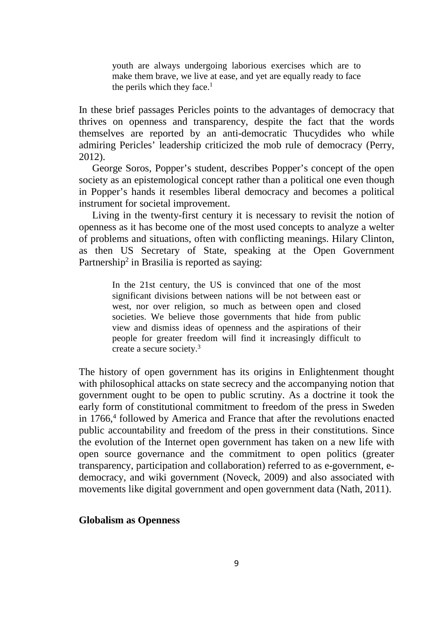youth are always undergoing laborious exercises which are to make them brave, we live at ease, and yet are equally ready to face the perils which they face.<sup>1</sup>

In these brief passages Pericles points to the advantages of democracy that thrives on openness and transparency, despite the fact that the words themselves are reported by an anti-democratic Thucydides who while admiring Pericles' leadership criticized the mob rule of democracy (Perry, 2012).

George Soros, Popper's student, describes Popper's concept of the open society as an epistemological concept rather than a political one even though in Popper's hands it resembles liberal democracy and becomes a political instrument for societal improvement.

Living in the twenty-first century it is necessary to revisit the notion of openness as it has become one of the most used concepts to analyze a welter of problems and situations, often with conflicting meanings. Hilary Clinton, as then US Secretary of State, speaking at the Open Government Partnership<sup>2</sup> in Brasilia is reported as saying:

> In the 21st century, the US is convinced that one of the most significant divisions between nations will be not between east or west, nor over religion, so much as between open and closed societies. We believe those governments that hide from public view and dismiss ideas of openness and the aspirations of their people for greater freedom will find it increasingly difficult to create a secure society.3

The history of open government has its origins in Enlightenment thought with philosophical attacks on state secrecy and the accompanying notion that government ought to be open to public scrutiny. As a doctrine it took the early form of constitutional commitment to freedom of the press in Sweden in 1766,<sup>4</sup> followed by America and France that after the revolutions enacted public accountability and freedom of the press in their constitutions. Since the evolution of the Internet open government has taken on a new life with open source governance and the commitment to open politics (greater transparency, participation and collaboration) referred to as e-government, edemocracy, and wiki government (Noveck, 2009) and also associated with movements like digital government and open government data (Nath, 2011).

## **Globalism as Openness**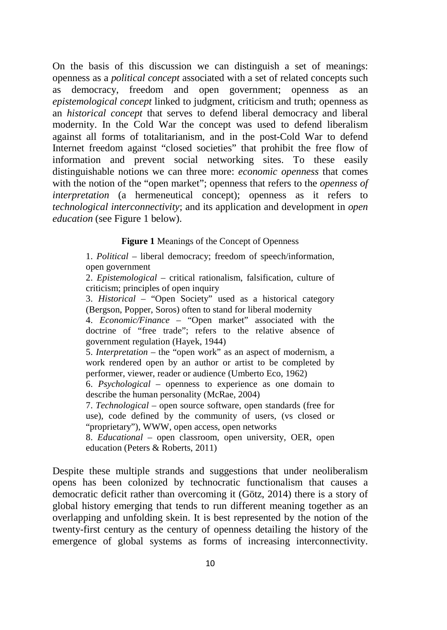On the basis of this discussion we can distinguish a set of meanings: openness as a *political concept* associated with a set of related concepts such as democracy, freedom and open government; openness as an *epistemological concept* linked to judgment, criticism and truth; openness as an *historical concept* that serves to defend liberal democracy and liberal modernity. In the Cold War the concept was used to defend liberalism against all forms of totalitarianism, and in the post-Cold War to defend Internet freedom against "closed societies" that prohibit the free flow of information and prevent social networking sites. To these easily distinguishable notions we can three more: *economic openness* that comes with the notion of the "open market"; openness that refers to the *openness of interpretation* (a hermeneutical concept); openness as it refers to *technological interconnectivity*; and its application and development in *open education* (see Figure 1 below).

#### **Figure 1** Meanings of the Concept of Openness

1. *Political* – liberal democracy; freedom of speech/information, open government

2. *Epistemological* – critical rationalism, falsification, culture of criticism; principles of open inquiry

3. *Historical* – "Open Society" used as a historical category (Bergson, Popper, Soros) often to stand for liberal modernity

4. *Economic/Finance* – "Open market" associated with the doctrine of "free trade"; refers to the relative absence of government regulation (Hayek, 1944)

5. *Interpretation* – the "open work" as an aspect of modernism, a work rendered open by an author or artist to be completed by performer, viewer, reader or audience (Umberto Eco, 1962)

6. *Psychological* – openness to experience as one domain to describe the human personality (McRae, 2004)

7. *Technological* – open source software, open standards (free for use), code defined by the community of users, (vs closed or "proprietary"), WWW, open access, open networks

8. *Educational –* open classroom, open university, OER, open education (Peters & Roberts, 2011)

Despite these multiple strands and suggestions that under neoliberalism opens has been colonized by technocratic functionalism that causes a democratic deficit rather than overcoming it (Götz, 2014) there is a story of global history emerging that tends to run different meaning together as an overlapping and unfolding skein. It is best represented by the notion of the twenty-first century as the century of openness detailing the history of the emergence of global systems as forms of increasing interconnectivity.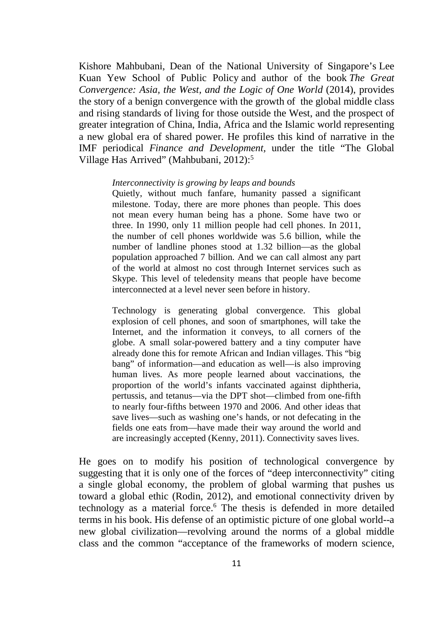Kishore Mahbubani, Dean of the National University of Singapore's [Lee](http://www.spp.nus.edu.sg/home.aspx)  [Kuan Yew School of Public Policy](http://www.spp.nus.edu.sg/home.aspx) and author of the book *The Great Convergence: Asia, the West, and the Logic of One World* (2014), provides the story of a benign convergence with the growth of the global middle class and rising standards of living for those outside the West, and the prospect of greater integration of China, India, Africa and the Islamic world representing a new global era of shared power. He profiles this kind of narrative in the IMF periodical *Finance and Development,* under the title "The Global Village Has Arrived" (Mahbubani, 2012):5

#### *Interconnectivity is growing by leaps and bounds*

Quietly, without much fanfare, humanity passed a significant milestone. Today, there are more phones than people. This does not mean every human being has a phone. Some have two or three. In 1990, only 11 million people had cell phones. In 2011, the number of cell phones worldwide was 5.6 billion, while the number of landline phones stood at 1.32 billion—as the global population approached 7 billion. And we can call almost any part of the world at almost no cost through Internet services such as Skype. This level of teledensity means that people have become interconnected at a level never seen before in history.

Technology is generating global convergence. This global explosion of cell phones, and soon of smartphones, will take the Internet, and the information it conveys, to all corners of the globe. A small solar-powered battery and a tiny computer have already done this for remote African and Indian villages. This "big bang" of information—and education as well—is also improving human lives. As more people learned about vaccinations, the proportion of the world's infants vaccinated against diphtheria, pertussis, and tetanus—via the DPT shot—climbed from one-fifth to nearly four-fifths between 1970 and 2006. And other ideas that save lives—such as washing one's hands, or not defecating in the fields one eats from—have made their way around the world and are increasingly accepted (Kenny, 2011). Connectivity saves lives.

He goes on to modify his position of technological convergence by suggesting that it is only one of the forces of "deep interconnectivity" citing a single global economy, the problem of global warming that pushes us toward a global ethic (Rodin, 2012), and emotional connectivity driven by technology as a material force.<sup>6</sup> The thesis is defended in more detailed terms in his book. His defense of an optimistic picture of one global world--a new global civilization—revolving around the norms of a global middle class and the common "acceptance of the frameworks of modern science,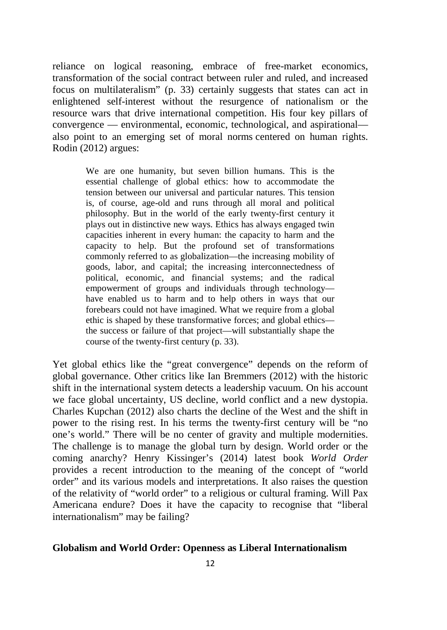reliance on logical reasoning, embrace of free-market economics, transformation of the social contract between ruler and ruled, and increased focus on multilateralism" (p. 33) certainly suggests that states can act in enlightened self-interest without the resurgence of nationalism or the resource wars that drive international competition. His four key pillars of convergence — environmental, economic, technological, and aspirational also point to an emerging set of moral norms centered on human rights. Rodin (2012) argues:

> We are one humanity, but seven billion humans. This is the essential challenge of global ethics: how to accommodate the tension between our universal and particular natures. This tension is, of course, age-old and runs through all moral and political philosophy. But in the world of the early twenty-first century it plays out in distinctive new ways. Ethics has always engaged twin capacities inherent in every human: the capacity to harm and the capacity to help. But the profound set of transformations commonly referred to as globalization—the increasing mobility of goods, labor, and capital; the increasing interconnectedness of political, economic, and financial systems; and the radical empowerment of groups and individuals through technology have enabled us to harm and to help others in ways that our forebears could not have imagined. What we require from a global ethic is shaped by these transformative forces; and global ethics the success or failure of that project—will substantially shape the course of the twenty-first century (p. 33).

Yet global ethics like the "great convergence" depends on the reform of global governance. Other critics like Ian Bremmers (2012) with the historic shift in the international system detects a leadership vacuum. On his account we face global uncertainty, US decline, world conflict and a new dystopia. Charles Kupchan (2012) also charts the decline of the West and the shift in power to the rising rest. In his terms the twenty-first century will be "no one's world." There will be no center of gravity and multiple modernities. The challenge is to manage the global turn by design. World order or the coming anarchy? Henry Kissinger's (2014) latest book *World Order*  provides a recent introduction to the meaning of the concept of "world order" and its various models and interpretations. It also raises the question of the relativity of "world order" to a religious or cultural framing. Will Pax Americana endure? Does it have the capacity to recognise that "liberal internationalism" may be failing?

# **Globalism and World Order: Openness as Liberal Internationalism**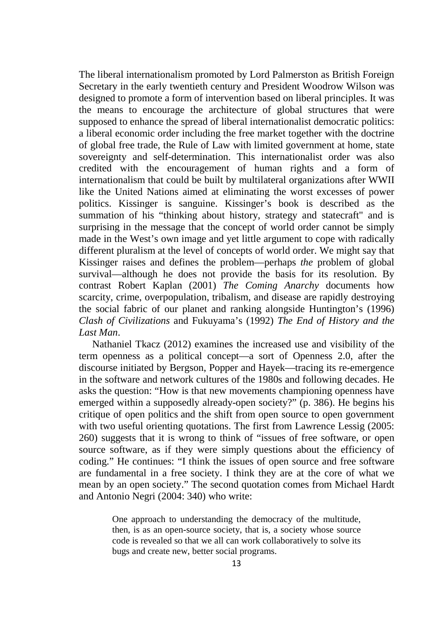The liberal internationalism promoted by Lord Palmerston as British Foreign Secretary in the early twentieth century and President Woodrow Wilson was designed to promote a form of intervention based on liberal principles. It was the means to encourage the architecture of global structures that were supposed to enhance the spread of liberal internationalist democratic politics: a liberal economic order including the free market together with the doctrine of global free trade, the Rule of Law with limited government at home, state sovereignty and self-determination. This internationalist order was also credited with the encouragement of human rights and a form of internationalism that could be built by multilateral organizations after WWII like the United Nations aimed at eliminating the worst excesses of power politics. Kissinger is sanguine. Kissinger's book is described as the summation of his "thinking about history, strategy and statecraft" and is surprising in the message that the concept of world order cannot be simply made in the West's own image and yet little argument to cope with radically different pluralism at the level of concepts of world order. We might say that Kissinger raises and defines the problem—perhaps *the* problem of global survival—although he does not provide the basis for its resolution. By contrast Robert Kaplan (2001) *The Coming Anarchy* documents how scarcity, crime, overpopulation, tribalism, and disease are rapidly destroying the social fabric of our planet and ranking alongside Huntington's (1996) *Clash of Civilizations* and Fukuyama's (1992) *The End of History and the Last Man*.

Nathaniel Tkacz (2012) examines the increased use and visibility of the term openness as a political concept—a sort of Openness 2.0, after the discourse initiated by Bergson, Popper and Hayek—tracing its re-emergence in the software and network cultures of the 1980s and following decades. He asks the question: "How is that new movements championing openness have emerged within a supposedly already-open society?" (p. 386). He begins his critique of open politics and the shift from open source to open government with two useful orienting quotations. The first from Lawrence Lessig (2005: 260) suggests that it is wrong to think of "issues of free software, or open source software, as if they were simply questions about the efficiency of coding." He continues: "I think the issues of open source and free software are fundamental in a free society. I think they are at the core of what we mean by an open society." The second quotation comes from Michael Hardt and Antonio Negri (2004: 340) who write:

> One approach to understanding the democracy of the multitude, then, is as an open-source society, that is, a society whose source code is revealed so that we all can work collaboratively to solve its bugs and create new, better social programs.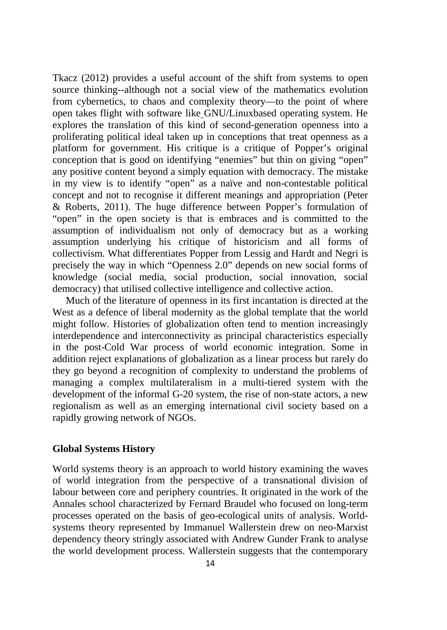Tkacz (2012) provides a useful account of the shift from systems to open source thinking--although not a social view of the mathematics evolution from cybernetics, to chaos and complexity theory—to the point of where open takes flight with software like GNU/Linuxbased operating system. He explores the translation of this kind of second-generation openness into a proliferating political ideal taken up in conceptions that treat openness as a platform for government. His critique is a critique of Popper's original conception that is good on identifying "enemies" but thin on giving "open" any positive content beyond a simply equation with democracy. The mistake in my view is to identify "open" as a naïve and non-contestable political concept and not to recognise it different meanings and appropriation (Peter & Roberts, 2011). The huge difference between Popper's formulation of "open" in the open society is that is embraces and is committed to the assumption of individualism not only of democracy but as a working assumption underlying his critique of historicism and all forms of collectivism. What differentiates Popper from Lessig and Hardt and Negri is precisely the way in which "Openness 2.0" depends on new social forms of knowledge (social media, social production, social innovation, social democracy) that utilised collective intelligence and collective action.

Much of the literature of openness in its first incantation is directed at the West as a defence of liberal modernity as the global template that the world might follow. Histories of globalization often tend to mention increasingly interdependence and interconnectivity as principal characteristics especially in the post-Cold War process of world economic integration. Some in addition reject explanations of globalization as a linear process but rarely do they go beyond a recognition of complexity to understand the problems of managing a complex multilateralism in a multi-tiered system with the development of the informal G-20 system, the rise of non-state actors, a new regionalism as well as an emerging international civil society based on a rapidly growing network of NGOs.

# **Global Systems History**

World systems theory is an approach to world history examining the waves of world integration from the perspective of a transnational division of labour between core and periphery countries. It originated in the work of the Annales school characterized by Fernard Braudel who focused on long-term processes operated on the basis of geo-ecological units of analysis. Worldsystems theory represented by Immanuel Wallerstein drew on neo-Marxist dependency theory stringly associated with Andrew Gunder Frank to analyse the world development process. Wallerstein suggests that the contemporary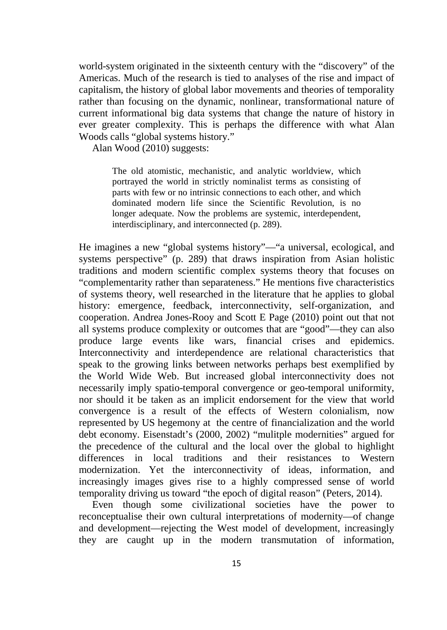world-system originated in the sixteenth century with the "discovery" of the Americas. Much of the research is tied to analyses of the rise and impact of capitalism, the history of global labor movements and theories of temporality rather than focusing on the dynamic, nonlinear, transformational nature of current informational big data systems that change the nature of history in ever greater complexity. This is perhaps the difference with what Alan Woods calls "global systems history."

Alan Wood (2010) suggests:

The old atomistic, mechanistic, and analytic worldview, which portrayed the world in strictly nominalist terms as consisting of parts with few or no intrinsic connections to each other, and which dominated modern life since the Scientific Revolution, is no longer adequate. Now the problems are systemic, interdependent, interdisciplinary, and interconnected (p. 289).

He imagines a new "global systems history"—"a universal, ecological, and systems perspective" (p. 289) that draws inspiration from Asian holistic traditions and modern scientific complex systems theory that focuses on "complementarity rather than separateness." He mentions five characteristics of systems theory, well researched in the literature that he applies to global history: emergence, feedback, interconnectivity, self-organization, and cooperation. Andrea Jones-Rooy and Scott E Page (2010) point out that not all systems produce complexity or outcomes that are "good"—they can also produce large events like wars, financial crises and epidemics. Interconnectivity and interdependence are relational characteristics that speak to the growing links between networks perhaps best exemplified by the World Wide Web. But increased global interconnectivity does not necessarily imply spatio-temporal convergence or geo-temporal uniformity, nor should it be taken as an implicit endorsement for the view that world convergence is a result of the effects of Western colonialism, now represented by US hegemony at the centre of financialization and the world debt economy. Eisenstadt's (2000, 2002) "mulitple modernities" argued for the precedence of the cultural and the local over the global to highlight differences in local traditions and their resistances to Western modernization. Yet the interconnectivity of ideas, information, and increasingly images gives rise to a highly compressed sense of world temporality driving us toward "the epoch of digital reason" (Peters, 2014).

Even though some civilizational societies have the power to reconceptualise their own cultural interpretations of modernity—of change and development—rejecting the West model of development, increasingly they are caught up in the modern transmutation of information,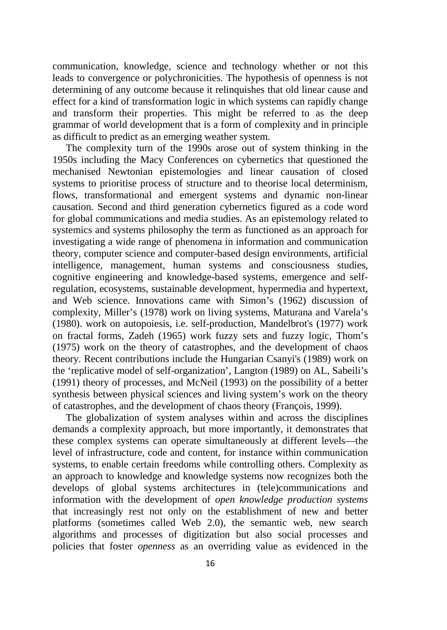communication, knowledge, science and technology whether or not this leads to convergence or polychronicities. The hypothesis of openness is not determining of any outcome because it relinquishes that old linear cause and effect for a kind of transformation logic in which systems can rapidly change and transform their properties. This might be referred to as the deep grammar of world development that is a form of complexity and in principle as difficult to predict as an emerging weather system.

The complexity turn of the 1990s arose out of system thinking in the 1950s including the Macy Conferences on cybernetics that questioned the mechanised Newtonian epistemologies and linear causation of closed systems to prioritise process of structure and to theorise local determinism, flows, transformational and emergent systems and dynamic non-linear causation. Second and third generation cybernetics figured as a code word for global communications and media studies. As an epistemology related to systemics and systems philosophy the term as functioned as an approach for investigating a wide range of phenomena in information and communication theory, computer science and computer-based design environments, artificial intelligence, management, human systems and consciousness studies, cognitive engineering and knowledge-based systems, emergence and selfregulation, ecosystems, sustainable development, hypermedia and hypertext, and Web science. Innovations came with Simon's (1962) discussion of complexity, Miller's (1978) work on living systems, Maturana and Varela's (1980). work on autopoiesis, i.e. self-production, Mandelbrot's (1977) work on fractal forms, Zadeh (1965) work fuzzy sets and fuzzy logic, Thom's (1975) work on the theory of catastrophes, and the development of chaos theory. Recent contributions include the Hungarian Csanyi's (1989) work on the 'replicative model of self-organization', Langton (1989) on AL, Sabeili's (1991) theory of processes, and McNeil (1993) on the possibility of a better synthesis between physical sciences and living system's work on the theory of catastrophes, and the development of chaos theory (François, 1999).

The globalization of system analyses within and across the disciplines demands a complexity approach, but more importantly, it demonstrates that these complex systems can operate simultaneously at different levels—the level of infrastructure, code and content, for instance within communication systems, to enable certain freedoms while controlling others. Complexity as an approach to knowledge and knowledge systems now recognizes both the develops of global systems architectures in (tele)communications and information with the development of *open knowledge production systems* that increasingly rest not only on the establishment of new and better platforms (sometimes called Web 2.0), the semantic web, new search algorithms and processes of digitization but also social processes and policies that foster *openness* as an overriding value as evidenced in the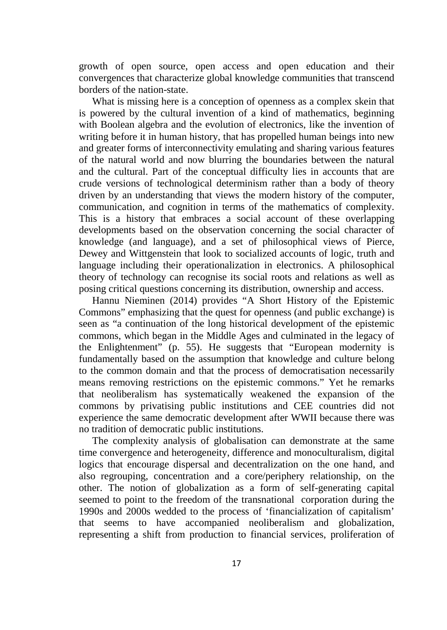growth of open source, open access and open education and their convergences that characterize global knowledge communities that transcend borders of the nation-state.

What is missing here is a conception of openness as a complex skein that is powered by the cultural invention of a kind of mathematics, beginning with Boolean algebra and the evolution of electronics, like the invention of writing before it in human history, that has propelled human beings into new and greater forms of interconnectivity emulating and sharing various features of the natural world and now blurring the boundaries between the natural and the cultural. Part of the conceptual difficulty lies in accounts that are crude versions of technological determinism rather than a body of theory driven by an understanding that views the modern history of the computer, communication, and cognition in terms of the mathematics of complexity. This is a history that embraces a social account of these overlapping developments based on the observation concerning the social character of knowledge (and language), and a set of philosophical views of Pierce, Dewey and Wittgenstein that look to socialized accounts of logic, truth and language including their operationalization in electronics. A philosophical theory of technology can recognise its social roots and relations as well as posing critical questions concerning its distribution, ownership and access.

Hannu Nieminen (2014) provides "A Short History of the Epistemic Commons" emphasizing that the quest for openness (and public exchange) is seen as "a continuation of the long historical development of the epistemic commons, which began in the Middle Ages and culminated in the legacy of the Enlightenment" (p. 55). He suggests that "European modernity is fundamentally based on the assumption that knowledge and culture belong to the common domain and that the process of democratisation necessarily means removing restrictions on the epistemic commons." Yet he remarks that neoliberalism has systematically weakened the expansion of the commons by privatising public institutions and CEE countries did not experience the same democratic development after WWII because there was no tradition of democratic public institutions.

The complexity analysis of globalisation can demonstrate at the same time convergence and heterogeneity, difference and monoculturalism, digital logics that encourage dispersal and decentralization on the one hand, and also regrouping, concentration and a core/periphery relationship, on the other. The notion of globalization as a form of self-generating capital seemed to point to the freedom of the transnational corporation during the 1990s and 2000s wedded to the process of 'financialization of capitalism' that seems to have accompanied neoliberalism and globalization, representing a shift from production to financial services, proliferation of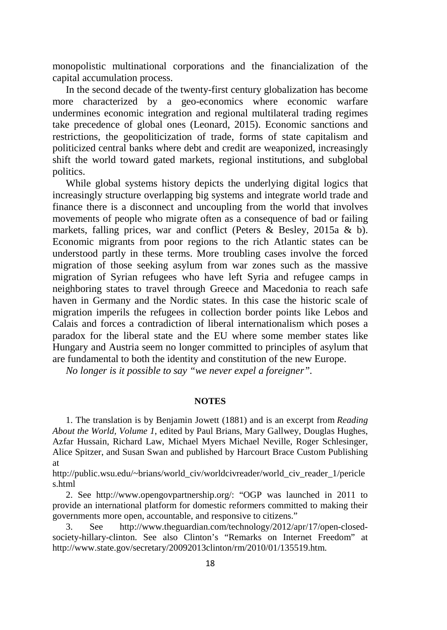monopolistic multinational corporations and the financialization of the capital accumulation process.

In the second decade of the twenty-first century globalization has become more characterized by a geo-economics where economic warfare undermines economic integration and regional multilateral trading regimes take precedence of global ones (Leonard, 2015). Economic sanctions and restrictions, the geopoliticization of trade, forms of state capitalism and politicized central banks where debt and credit are weaponized, increasingly shift the world toward gated markets, regional institutions, and subglobal politics.

While global systems history depicts the underlying digital logics that increasingly structure overlapping big systems and integrate world trade and finance there is a disconnect and uncoupling from the world that involves movements of people who migrate often as a consequence of bad or failing markets, falling prices, war and conflict (Peters & Besley, 2015a & b). Economic migrants from poor regions to the rich Atlantic states can be understood partly in these terms. More troubling cases involve the forced migration of those seeking asylum from war zones such as the massive migration of Syrian refugees who have left Syria and refugee camps in neighboring states to travel through Greece and Macedonia to reach safe haven in Germany and the Nordic states. In this case the historic scale of migration imperils the refugees in collection border points like Lebos and Calais and forces a contradiction of liberal internationalism which poses a paradox for the liberal state and the EU where some member states like Hungary and Austria seem no longer committed to principles of asylum that are fundamental to both the identity and constitution of the new Europe.

*No longer is it possible to say "we never expel a foreigner".*

#### **NOTES**

1. The translation is by Benjamin Jowett (1881) and is an excerpt from *Reading About the World, Volume 1*, edited by Paul Brians, Mary Gallwey, Douglas Hughes, Azfar Hussain, Richard Law, Michael Myers Michael Neville, Roger Schlesinger, Alice Spitzer, and Susan Swan and published by Harcourt Brace Custom Publishing at

[http://public.wsu.edu/~brians/world\\_civ/worldcivreader/world\\_civ\\_reader\\_1/pericle](http://public.wsu.edu/%7Ebrians/world_civ/worldcivreader/world_civ_reader_1/pericles.html) [s.html](http://public.wsu.edu/%7Ebrians/world_civ/worldcivreader/world_civ_reader_1/pericles.html)

2. See [http://www.opengovpartnership.org/:](http://www.opengovpartnership.org/) "OGP was launched in 2011 to provide an international platform for domestic reformers committed to making their governments more open, accountable, and responsive to citizens."

3. See [http://www.theguardian.com/technology/2012/apr/17/open-closed](http://www.theguardian.com/technology/2012/apr/17/open-closed-society-hillary-clinton)[society-hillary-clinton.](http://www.theguardian.com/technology/2012/apr/17/open-closed-society-hillary-clinton) See also Clinton's "Remarks on Internet Freedom" at [http://www.state.gov/secretary/20092013clinton/rm/2010/01/135519.htm.](http://www.state.gov/secretary/20092013clinton/rm/2010/01/135519.htm)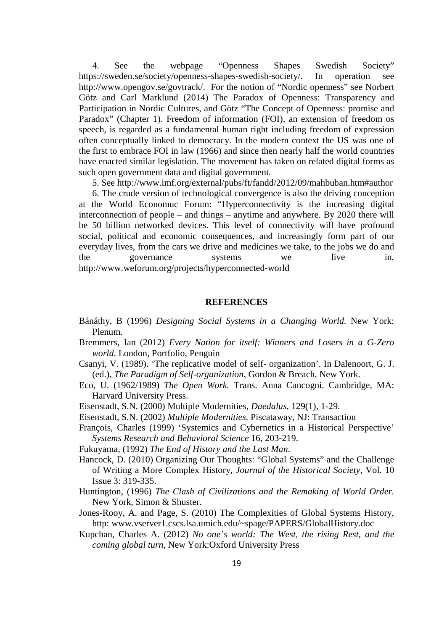4. See the webpage "Openness Shapes Swedish Society" [https://sweden.se/society/openness-shapes-swedish-society/.](https://sweden.se/society/openness-shapes-swedish-society/) In operation see [http://www.opengov.se/govtrack/.](http://www.opengov.se/govtrack/) For the notion of "Nordic openness" see Norbert Götz and Carl Marklund (2014) The Paradox of Openness: Transparency and Participation in Nordic Cultures, and Götz "The Concept of Openness: promise and Paradox" (Chapter 1). Freedom of information (FOI), an extension of freedom os speech, is regarded as a fundamental human right including freedom of expression often conceptually linked to democracy. In the modern context the US was one of the first to embrace FOI in law (1966) and since then nearly half the world countries have enacted similar legislation. The movement has taken on related digital forms as such open government data and digital government.

5. See [http://www.imf.org/external/pubs/ft/fandd/2012/09/mahbuban.htm#author](http://www.imf.org/external/pubs/ft/fandd/2012/09/mahbuban.htm%23author)

6. The crude version of technological convergence is also the driving conception at the World Economuc Forum: "Hyperconnectivity is the increasing digital interconnection of people – and things – anytime and anywhere. By 2020 there will be 50 billion networked devices. This level of connectivity will have profound social, political and economic consequences, and increasingly form part of our everyday lives, from the cars we drive and medicines we take, to the jobs we do and the governance systems we live in, <http://www.weforum.org/projects/hyperconnected-world>

#### **REFERENCES**

- Bánáthy, B (1996) *Designing Social Systems in a Changing World.* New York: Plenum.
- Bremmers, Ian (2012) *Every Nation for itself: Winners and Losers in a G-Zero world*. London, Portfolio, Penguin
- Csanyi, V. (1989). 'The replicative model of self- organization'. In Dalenoort, G. J. (ed.), *The Paradigm of Self-organization*, Gordon & Breach, New York.
- Eco, U. (1962/1989) *The Open Work.* Trans. Anna Cancogni. Cambridge, MA: Harvard University Press.
- Eisenstadt, S.N. (2000) Multiple Modernities, *Daedalus*, 129(1), 1-29.
- Eisenstadt, S.N. (2002) *Multiple Modernities*. Piscataway, NJ: Transaction
- François, Charles (1999) 'Systemics and Cybernetics in a Historical Perspective' *Systems Research and Behavioral Science* 16, 203-219.
- Fukuyama, (1992) *The End of History and the Last Man*.
- Hancock, D. (2010) Organizing Our Thoughts: "Global Systems" and the Challenge of Writing a More Complex History, *Journal of the Historical Society*, Vol. 10 Issue 3: 319-335.
- Huntington, (1996) *The Clash of Civilizations and the Remaking of World Order.* New York, Simon & Shuster.
- Jones-Rooy, A. and Page, S. (2010) The Complexities of Global Systems History, http: [www.vserver1.cscs.lsa.umich.edu/~spage/PAPERS/GlobalHistory.doc](http://www.vserver1.cscs.lsa.umich.edu/%7Espage/PAPERS/GlobalHistory.doc)
- Kupchan, Charles A. (2012) *No one's world: The West, the rising Rest, and the coming global turn*, New York:Oxford University Press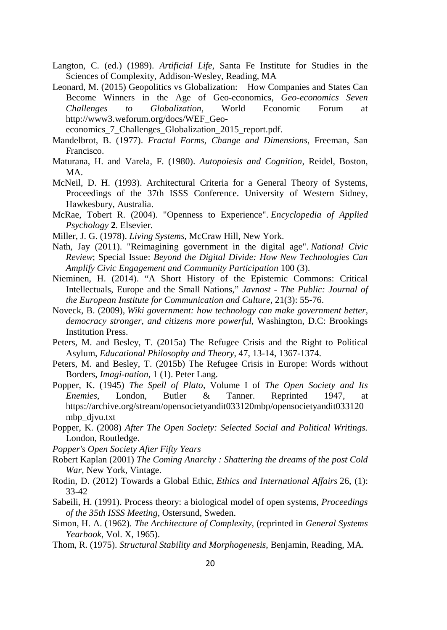- Langton, C. (ed.) (1989). *Artificial Life*, Santa Fe Institute for Studies in the Sciences of Complexity, Addison-Wesley, Reading, MA
- Leonard, M. (2015) Geopolitics vs Globalization: How Companies and States Can Become Winners in the Age of Geo-economics, *Geo-economics Seven Challenges to Globalization,* World Economic Forum at [http://www3.weforum.org/docs/WEF\\_Geo-](http://www3.weforum.org/docs/WEF_Geo-economics_7_Challenges_Globalization_2015_report.pdf)

economics 7 Challenges Globalization 2015 report.pdf.

- Mandelbrot, B. (1977). *Fractal Forms, Change and Dimensions*, Freeman, San Francisco.
- Maturana, H. and Varela, F. (1980). *Autopoiesis and Cognition*, Reidel, Boston, MA.
- McNeil, D. H. (1993). Architectural Criteria for a General Theory of Systems, Proceedings of the 37th ISSS Conference. University of Western Sidney, Hawkesbury, Australia.
- McRae, Tobert R. (2004). "Openness to Experience". *Encyclopedia of Applied Psychology* **2**. Elsevier.
- Miller, J. G. (1978). *Living Systems*, McCraw Hill, New York.
- Nath, Jay (2011). "Reimagining government in the digital age". *National Civic Review*; Special Issue: *Beyond the Digital Divide: How New Technologies Can Amplify Civic Engagement and Community Participation* 100 (3).
- Nieminen, H. (2014). "A Short History of the Epistemic Commons: Critical Intellectuals, Europe and the Small Nations," *Javnost - The Public: Journal of the European Institute for Communication and Culture*, 21(3): 55-76.
- Noveck, B. (2009), *[Wiki government: how technology can make government better,](http://openlibrary.org/books/OL23153089M/Wiki_government)  [democracy stronger, and citizens more powerful](http://openlibrary.org/books/OL23153089M/Wiki_government)*, Washington, D.C: Brookings Institution Press.
- Peters, M. and Besley, T. (2015a) The Refugee Crisis and the Right to Political Asylum, *Educational Philosophy and Theory*, 47, 13-14, 1367-1374.
- Peters, M. and Besley, T. (2015b) The Refugee Crisis in Europe: Words without Borders, *Imagi-nation*, 1 (1). Peter Lang.
- Popper, K. (1945) *The Spell of Plato*, Volume I of *The Open Society and Its Enemies*, London, Butler & Tanner. Reprinted 1947, at [https://archive.org/stream/opensocietyandit033120mbp/opensocietyandit033120](https://archive.org/stream/opensocietyandit033120mbp/opensocietyandit033120mbp_djvu.txt) [mbp\\_djvu.txt](https://archive.org/stream/opensocietyandit033120mbp/opensocietyandit033120mbp_djvu.txt)
- Popper, K. (2008) *After The Open Society: Selected Social and Political Writings.*  London, Routledge.
- *Popper's Open Society After Fifty Years*
- Robert Kaplan (2001) *The Coming Anarchy : Shattering the dreams of the post Cold War,* New York, Vintage.
- Rodin, D. (2012) Towards a Global Ethic, *Ethics and International Affairs* 26, (1): 33-42
- Sabeili, H. (1991). Process theory: a biological model of open systems, *Proceedings of the 35th ISSS Meeting*, Ostersund, Sweden.
- Simon, H. A. (1962). *The Architecture of Complexity*, (reprinted in *General Systems Yearbook*, Vol. X, 1965).
- Thom, R. (1975). *Structural Stability and Morphogenesis*, Benjamin, Reading, MA.